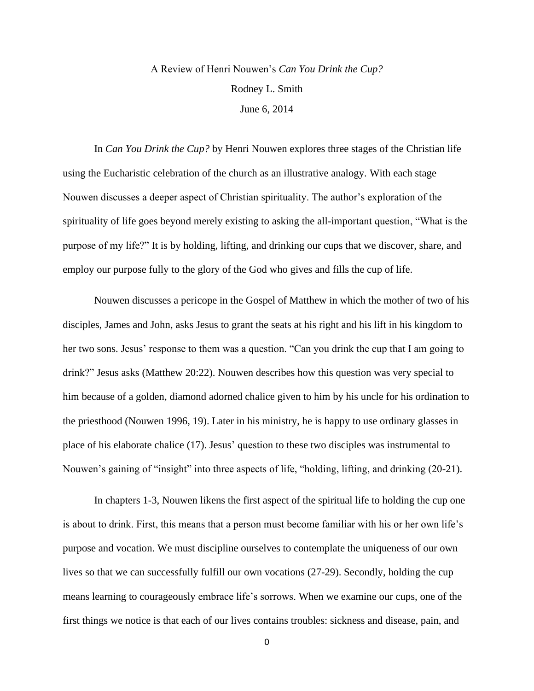## A Review of Henri Nouwen's *Can You Drink the Cup?* Rodney L. Smith June 6, 2014

In *Can You Drink the Cup?* by Henri Nouwen explores three stages of the Christian life using the Eucharistic celebration of the church as an illustrative analogy. With each stage Nouwen discusses a deeper aspect of Christian spirituality. The author's exploration of the spirituality of life goes beyond merely existing to asking the all-important question, "What is the purpose of my life?" It is by holding, lifting, and drinking our cups that we discover, share, and employ our purpose fully to the glory of the God who gives and fills the cup of life.

Nouwen discusses a pericope in the Gospel of Matthew in which the mother of two of his disciples, James and John, asks Jesus to grant the seats at his right and his lift in his kingdom to her two sons. Jesus' response to them was a question. "Can you drink the cup that I am going to drink?" Jesus asks (Matthew 20:22). Nouwen describes how this question was very special to him because of a golden, diamond adorned chalice given to him by his uncle for his ordination to the priesthood (Nouwen 1996, 19). Later in his ministry, he is happy to use ordinary glasses in place of his elaborate chalice (17). Jesus' question to these two disciples was instrumental to Nouwen's gaining of "insight" into three aspects of life, "holding, lifting, and drinking (20-21).

In chapters 1-3, Nouwen likens the first aspect of the spiritual life to holding the cup one is about to drink. First, this means that a person must become familiar with his or her own life's purpose and vocation. We must discipline ourselves to contemplate the uniqueness of our own lives so that we can successfully fulfill our own vocations (27-29). Secondly, holding the cup means learning to courageously embrace life's sorrows. When we examine our cups, one of the first things we notice is that each of our lives contains troubles: sickness and disease, pain, and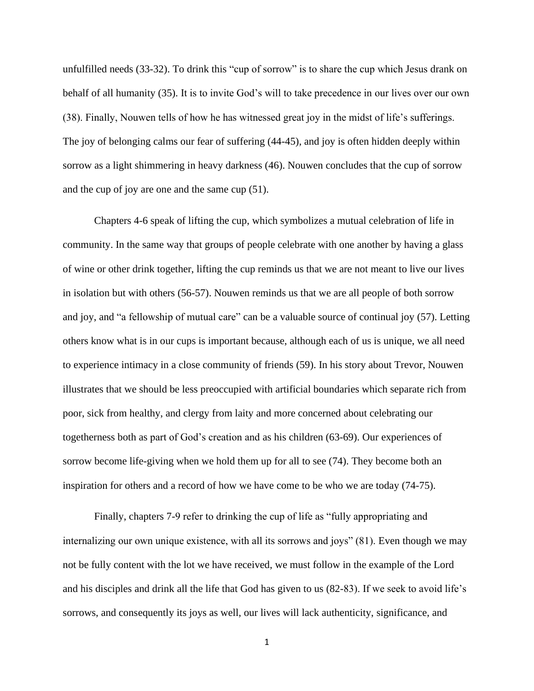unfulfilled needs (33-32). To drink this "cup of sorrow" is to share the cup which Jesus drank on behalf of all humanity (35). It is to invite God's will to take precedence in our lives over our own (38). Finally, Nouwen tells of how he has witnessed great joy in the midst of life's sufferings. The joy of belonging calms our fear of suffering (44-45), and joy is often hidden deeply within sorrow as a light shimmering in heavy darkness (46). Nouwen concludes that the cup of sorrow and the cup of joy are one and the same cup (51).

Chapters 4-6 speak of lifting the cup, which symbolizes a mutual celebration of life in community. In the same way that groups of people celebrate with one another by having a glass of wine or other drink together, lifting the cup reminds us that we are not meant to live our lives in isolation but with others (56-57). Nouwen reminds us that we are all people of both sorrow and joy, and "a fellowship of mutual care" can be a valuable source of continual joy (57). Letting others know what is in our cups is important because, although each of us is unique, we all need to experience intimacy in a close community of friends (59). In his story about Trevor, Nouwen illustrates that we should be less preoccupied with artificial boundaries which separate rich from poor, sick from healthy, and clergy from laity and more concerned about celebrating our togetherness both as part of God's creation and as his children (63-69). Our experiences of sorrow become life-giving when we hold them up for all to see (74). They become both an inspiration for others and a record of how we have come to be who we are today (74-75).

Finally, chapters 7-9 refer to drinking the cup of life as "fully appropriating and internalizing our own unique existence, with all its sorrows and joys" (81). Even though we may not be fully content with the lot we have received, we must follow in the example of the Lord and his disciples and drink all the life that God has given to us (82-83). If we seek to avoid life's sorrows, and consequently its joys as well, our lives will lack authenticity, significance, and

1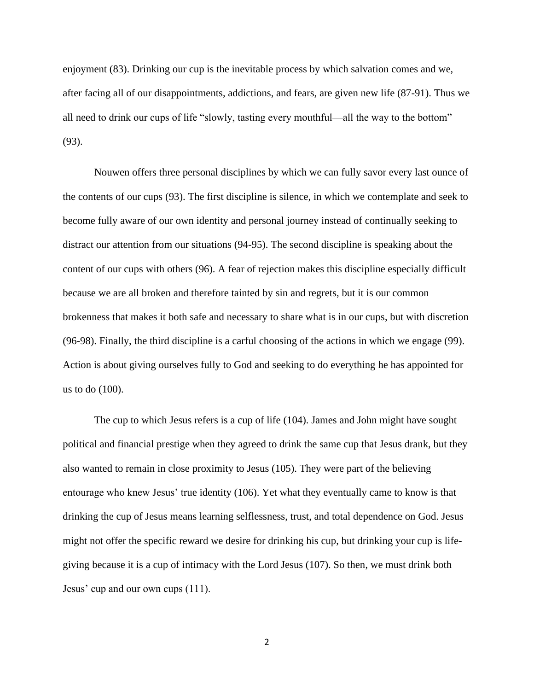enjoyment (83). Drinking our cup is the inevitable process by which salvation comes and we, after facing all of our disappointments, addictions, and fears, are given new life (87-91). Thus we all need to drink our cups of life "slowly, tasting every mouthful—all the way to the bottom" (93).

Nouwen offers three personal disciplines by which we can fully savor every last ounce of the contents of our cups (93). The first discipline is silence, in which we contemplate and seek to become fully aware of our own identity and personal journey instead of continually seeking to distract our attention from our situations (94-95). The second discipline is speaking about the content of our cups with others (96). A fear of rejection makes this discipline especially difficult because we are all broken and therefore tainted by sin and regrets, but it is our common brokenness that makes it both safe and necessary to share what is in our cups, but with discretion (96-98). Finally, the third discipline is a carful choosing of the actions in which we engage (99). Action is about giving ourselves fully to God and seeking to do everything he has appointed for us to do (100).

The cup to which Jesus refers is a cup of life (104). James and John might have sought political and financial prestige when they agreed to drink the same cup that Jesus drank, but they also wanted to remain in close proximity to Jesus (105). They were part of the believing entourage who knew Jesus' true identity (106). Yet what they eventually came to know is that drinking the cup of Jesus means learning selflessness, trust, and total dependence on God. Jesus might not offer the specific reward we desire for drinking his cup, but drinking your cup is lifegiving because it is a cup of intimacy with the Lord Jesus (107). So then, we must drink both Jesus' cup and our own cups (111).

2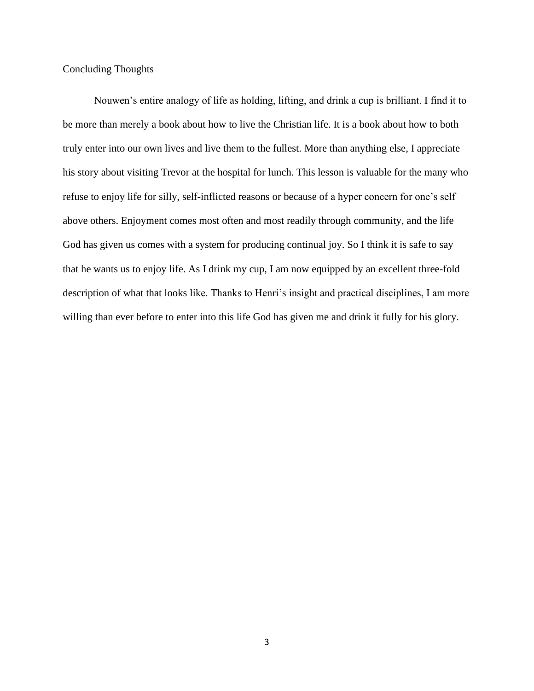Concluding Thoughts

Nouwen's entire analogy of life as holding, lifting, and drink a cup is brilliant. I find it to be more than merely a book about how to live the Christian life. It is a book about how to both truly enter into our own lives and live them to the fullest. More than anything else, I appreciate his story about visiting Trevor at the hospital for lunch. This lesson is valuable for the many who refuse to enjoy life for silly, self-inflicted reasons or because of a hyper concern for one's self above others. Enjoyment comes most often and most readily through community, and the life God has given us comes with a system for producing continual joy. So I think it is safe to say that he wants us to enjoy life. As I drink my cup, I am now equipped by an excellent three-fold description of what that looks like. Thanks to Henri's insight and practical disciplines, I am more willing than ever before to enter into this life God has given me and drink it fully for his glory.